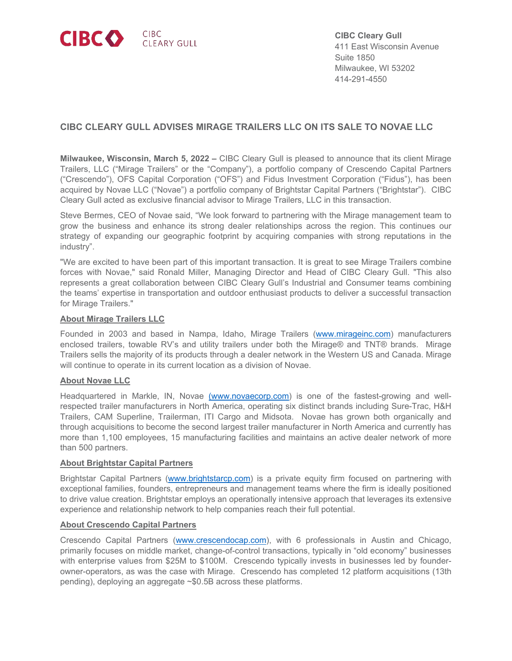

**CIBC Cleary Gull** 411 East Wisconsin Avenue Suite 1850 Milwaukee, WI 53202 414-291-4550

# **CIBC CLEARY GULL ADVISES MIRAGE TRAILERS LLC ON ITS SALE TO NOVAE LLC**

**Milwaukee, Wisconsin, March 5, 2022 –** CIBC Cleary Gull is pleased to announce that its client Mirage Trailers, LLC ("Mirage Trailers" or the "Company"), a portfolio company of Crescendo Capital Partners ("Crescendo"), OFS Capital Corporation ("OFS") and Fidus Investment Corporation ("Fidus"), has been acquired by Novae LLC ("Novae") a portfolio company of Brightstar Capital Partners ("Brightstar"). CIBC Cleary Gull acted as exclusive financial advisor to Mirage Trailers, LLC in this transaction.

Steve Bermes, CEO of Novae said, "We look forward to partnering with the Mirage management team to grow the business and enhance its strong dealer relationships across the region. This continues our strategy of expanding our geographic footprint by acquiring companies with strong reputations in the industry".

"We are excited to have been part of this important transaction. It is great to see Mirage Trailers combine forces with Novae," said Ronald Miller, Managing Director and Head of CIBC Cleary Gull. "This also represents a great collaboration between CIBC Cleary Gull's Industrial and Consumer teams combining the teams' expertise in transportation and outdoor enthusiast products to deliver a successful transaction for Mirage Trailers."

#### **About Mirage Trailers LLC**

Founded in 2003 and based in Nampa, Idaho, Mirage Trailers [\(www.mirageinc.com\)](http://www.mirageinc.com/) manufacturers enclosed trailers, towable RV's and utility trailers under both the Mirage® and TNT® brands. Mirage Trailers sells the majority of its products through a dealer network in the Western US and Canada. Mirage will continue to operate in its current location as a division of Novae.

## **About Novae LLC**

Headquartered in Markle, IN, Novae [\(www.novaecorp.com\)](http://(www.novaecorp.com/) is one of the fastest-growing and wellrespected trailer manufacturers in North America, operating six distinct brands including Sure-Trac, H&H Trailers, CAM Superline, Trailerman, ITI Cargo and Midsota. Novae has grown both organically and through acquisitions to become the second largest trailer manufacturer in North America and currently has more than 1,100 employees, 15 manufacturing facilities and maintains an active dealer network of more than 500 partners.

#### **About Brightstar Capital Partners**

Brightstar Capital Partners [\(www.brightstarcp.com\)](http://www.brightstarcp.com/) is a private equity firm focused on partnering with exceptional families, founders, entrepreneurs and management teams where the firm is ideally positioned to drive value creation. Brightstar employs an operationally intensive approach that leverages its extensive experience and relationship network to help companies reach their full potential.

#### **About Crescendo Capital Partners**

Crescendo Capital Partners [\(www.crescendocap.com\)](http://www.crescendocap.com/), with 6 professionals in Austin and Chicago, primarily focuses on middle market, change-of-control transactions, typically in "old economy" businesses with enterprise values from \$25M to \$100M. Crescendo typically invests in businesses led by founderowner-operators, as was the case with Mirage. Crescendo has completed 12 platform acquisitions (13th pending), deploying an aggregate ~\$0.5B across these platforms.